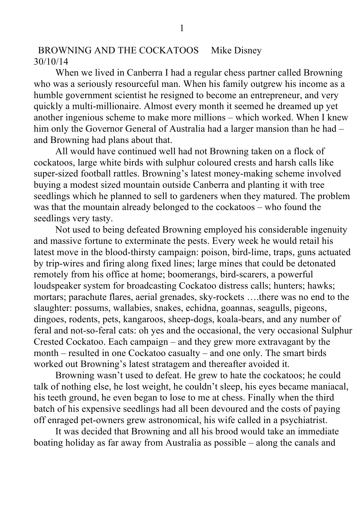BROWNING AND THE COCKATOOS Mike Disney 30/10/14

When we lived in Canberra I had a regular chess partner called Browning who was a seriously resourceful man. When his family outgrew his income as a humble government scientist he resigned to become an entrepreneur, and very quickly a multi-millionaire. Almost every month it seemed he dreamed up yet another ingenious scheme to make more millions – which worked. When I knew him only the Governor General of Australia had a larger mansion than he had – and Browning had plans about that.

All would have continued well had not Browning taken on a flock of cockatoos, large white birds with sulphur coloured crests and harsh calls like super-sized football rattles. Browning's latest money-making scheme involved buying a modest sized mountain outside Canberra and planting it with tree seedlings which he planned to sell to gardeners when they matured. The problem was that the mountain already belonged to the cockatoos – who found the seedlings very tasty.

Not used to being defeated Browning employed his considerable ingenuity and massive fortune to exterminate the pests. Every week he would retail his latest move in the blood-thirsty campaign: poison, bird-lime, traps, guns actuated by trip-wires and firing along fixed lines; large mines that could be detonated remotely from his office at home; boomerangs, bird-scarers, a powerful loudspeaker system for broadcasting Cockatoo distress calls; hunters; hawks; mortars; parachute flares, aerial grenades, sky-rockets ….there was no end to the slaughter: possums, wallabies, snakes, echidna, goannas, seagulls, pigeons, dingoes, rodents, pets, kangaroos, sheep-dogs, koala-bears, and any number of feral and not-so-feral cats: oh yes and the occasional, the very occasional Sulphur Crested Cockatoo. Each campaign – and they grew more extravagant by the month – resulted in one Cockatoo casualty – and one only. The smart birds worked out Browning's latest stratagem and thereafter avoided it.

Browning wasn't used to defeat. He grew to hate the cockatoos; he could talk of nothing else, he lost weight, he couldn't sleep, his eyes became maniacal, his teeth ground, he even began to lose to me at chess. Finally when the third batch of his expensive seedlings had all been devoured and the costs of paying off enraged pet-owners grew astronomical, his wife called in a psychiatrist.

It was decided that Browning and all his brood would take an immediate boating holiday as far away from Australia as possible – along the canals and